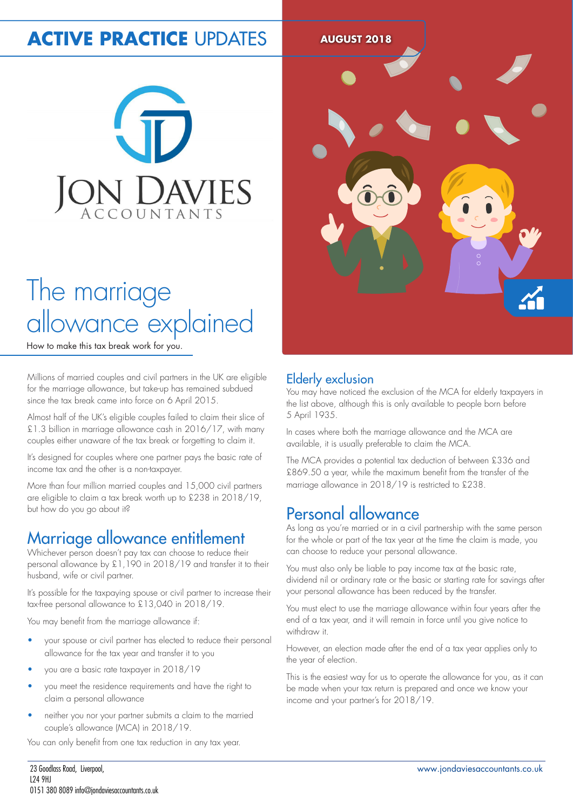## **ACTIVE PRACTICE UPDATES AUGUST 2018**



## The marriage allowance explained

How to make this tax break work for you.

Millions of married couples and civil partners in the UK are eligible for the marriage allowance, but take-up has remained subdued since the tax break came into force on 6 April 2015.

Almost half of the UK's eligible couples failed to claim their slice of £1.3 billion in marriage allowance cash in 2016/17, with many couples either unaware of the tax break or forgetting to claim it.

It's designed for couples where one partner pays the basic rate of income tax and the other is a non-taxpayer.

More than four million married couples and 15,000 civil partners are eligible to claim a tax break worth up to £238 in 2018/19, but how do you go about it?

## Marriage allowance entitlement

Whichever person doesn't pay tax can choose to reduce their personal allowance by £1,190 in 2018/19 and transfer it to their husband, wife or civil partner.

It's possible for the taxpaying spouse or civil partner to increase their tax-free personal allowance to £13,040 in 2018/19.

You may benefit from the marriage allowance if:

- your spouse or civil partner has elected to reduce their personal allowance for the tax year and transfer it to you
- you are a basic rate taxpayer in 2018/19
- you meet the residence requirements and have the right to claim a personal allowance
- neither you nor your partner submits a claim to the married couple's allowance (MCA) in 2018/19.

You can only benefit from one tax reduction in any tax year.



#### Elderly exclusion

You may have noticed the exclusion of the MCA for elderly taxpayers in the list above, although this is only available to people born before 5 April 1935.

In cases where both the marriage allowance and the MCA are available, it is usually preferable to claim the MCA.

The MCA provides a potential tax deduction of between £336 and £869.50 a year, while the maximum benefit from the transfer of the marriage allowance in 2018/19 is restricted to £238.

### Personal allowance

As long as you're married or in a civil partnership with the same person for the whole or part of the tax year at the time the claim is made, you can choose to reduce your personal allowance.

You must also only be liable to pay income tax at the basic rate, dividend nil or ordinary rate or the basic or starting rate for savings after your personal allowance has been reduced by the transfer.

You must elect to use the marriage allowance within four years after the end of a tax year, and it will remain in force until you give notice to withdraw it.

However, an election made after the end of a tax year applies only to the year of election.

This is the easiest way for us to operate the allowance for you, as it can be made when your tax return is prepared and once we know your income and your partner's for 2018/19.